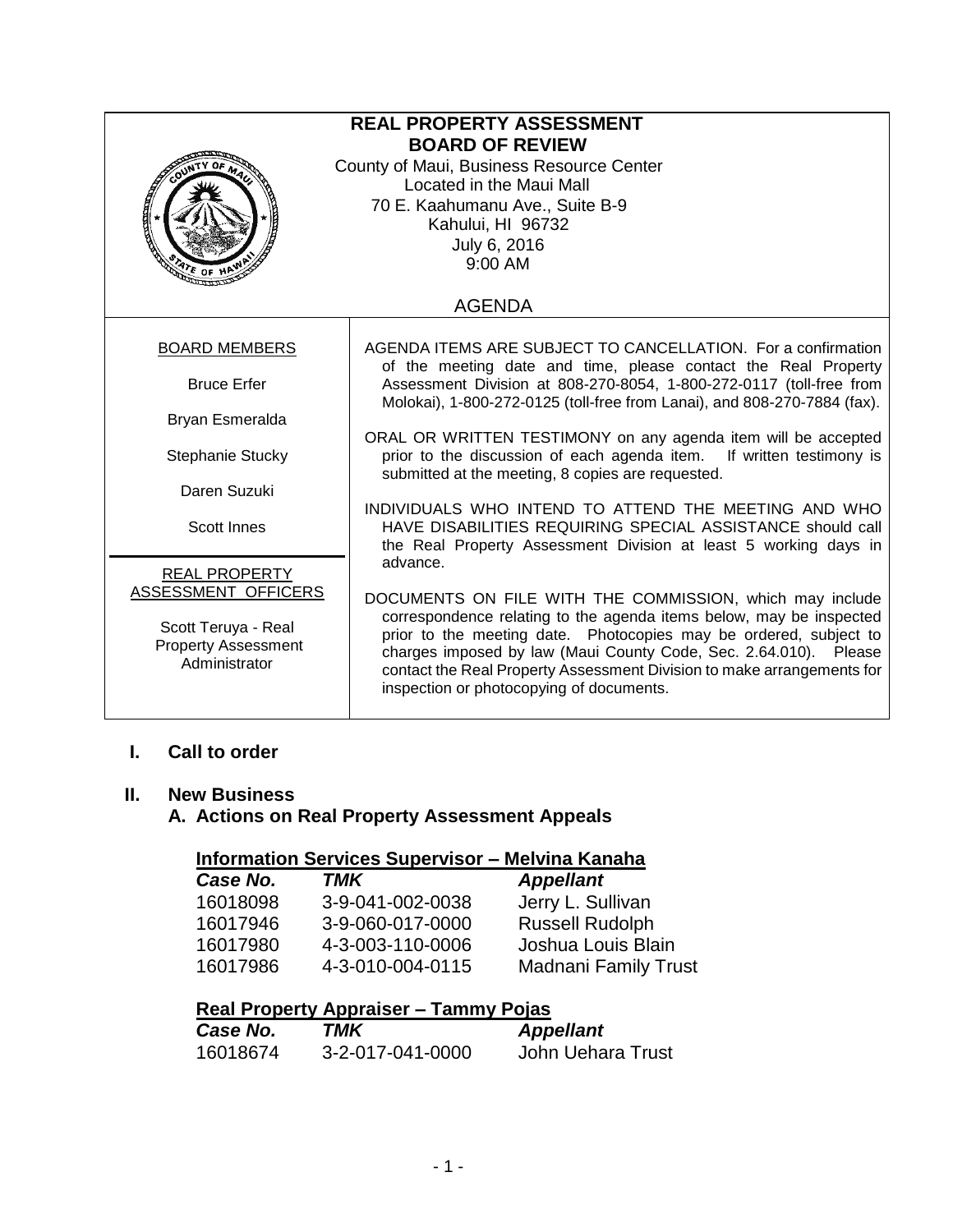| <b>REAL PROPERTY ASSESSMENT</b><br><b>BOARD OF REVIEW</b><br>County of Maui, Business Resource Center<br>Located in the Maui Mall<br>70 E. Kaahumanu Ave., Suite B-9<br>Kahului, HI 96732<br>July 6, 2016<br>9:00 AM<br>$\mathcal{P}$ e of H |                                                                                                                                                                                                                                                                                                                                                                                                |  |
|----------------------------------------------------------------------------------------------------------------------------------------------------------------------------------------------------------------------------------------------|------------------------------------------------------------------------------------------------------------------------------------------------------------------------------------------------------------------------------------------------------------------------------------------------------------------------------------------------------------------------------------------------|--|
|                                                                                                                                                                                                                                              | <b>AGENDA</b>                                                                                                                                                                                                                                                                                                                                                                                  |  |
| <b>BOARD MEMBERS</b>                                                                                                                                                                                                                         | AGENDA ITEMS ARE SUBJECT TO CANCELLATION. For a confirmation<br>of the meeting date and time, please contact the Real Property                                                                                                                                                                                                                                                                 |  |
| <b>Bruce Erfer</b>                                                                                                                                                                                                                           | Assessment Division at 808-270-8054, 1-800-272-0117 (toll-free from<br>Molokai), 1-800-272-0125 (toll-free from Lanai), and 808-270-7884 (fax).                                                                                                                                                                                                                                                |  |
| Bryan Esmeralda                                                                                                                                                                                                                              |                                                                                                                                                                                                                                                                                                                                                                                                |  |
| Stephanie Stucky                                                                                                                                                                                                                             | ORAL OR WRITTEN TESTIMONY on any agenda item will be accepted<br>prior to the discussion of each agenda item. If written testimony is<br>submitted at the meeting, 8 copies are requested.                                                                                                                                                                                                     |  |
| Daren Suzuki                                                                                                                                                                                                                                 |                                                                                                                                                                                                                                                                                                                                                                                                |  |
| <b>Scott Innes</b>                                                                                                                                                                                                                           | INDIVIDUALS WHO INTEND TO ATTEND THE MEETING AND WHO<br>HAVE DISABILITIES REQUIRING SPECIAL ASSISTANCE should call<br>the Real Property Assessment Division at least 5 working days in                                                                                                                                                                                                         |  |
| <b>REAL PROPERTY</b>                                                                                                                                                                                                                         | advance.                                                                                                                                                                                                                                                                                                                                                                                       |  |
| ASSESSMENT OFFICERS<br>Scott Teruya - Real<br><b>Property Assessment</b><br>Administrator                                                                                                                                                    | DOCUMENTS ON FILE WITH THE COMMISSION, which may include<br>correspondence relating to the agenda items below, may be inspected<br>prior to the meeting date. Photocopies may be ordered, subject to<br>charges imposed by law (Maui County Code, Sec. 2.64.010). Please<br>contact the Real Property Assessment Division to make arrangements for<br>inspection or photocopying of documents. |  |

# **I. Call to order**

#### **II. New Business**

# **A. Actions on Real Property Assessment Appeals**

## **Information Services Supervisor – Melvina Kanaha**

| Case No. | TMK              | <b>Appellant</b>            |
|----------|------------------|-----------------------------|
| 16018098 | 3-9-041-002-0038 | Jerry L. Sullivan           |
| 16017946 | 3-9-060-017-0000 | <b>Russell Rudolph</b>      |
| 16017980 | 4-3-003-110-0006 | Joshua Louis Blain          |
| 16017986 | 4-3-010-004-0115 | <b>Madnani Family Trust</b> |

## **Real Property Appraiser – Tammy Pojas**

| Case No. | TMK              | <b>Appellant</b>  |
|----------|------------------|-------------------|
| 16018674 | 3-2-017-041-0000 | John Uehara Trust |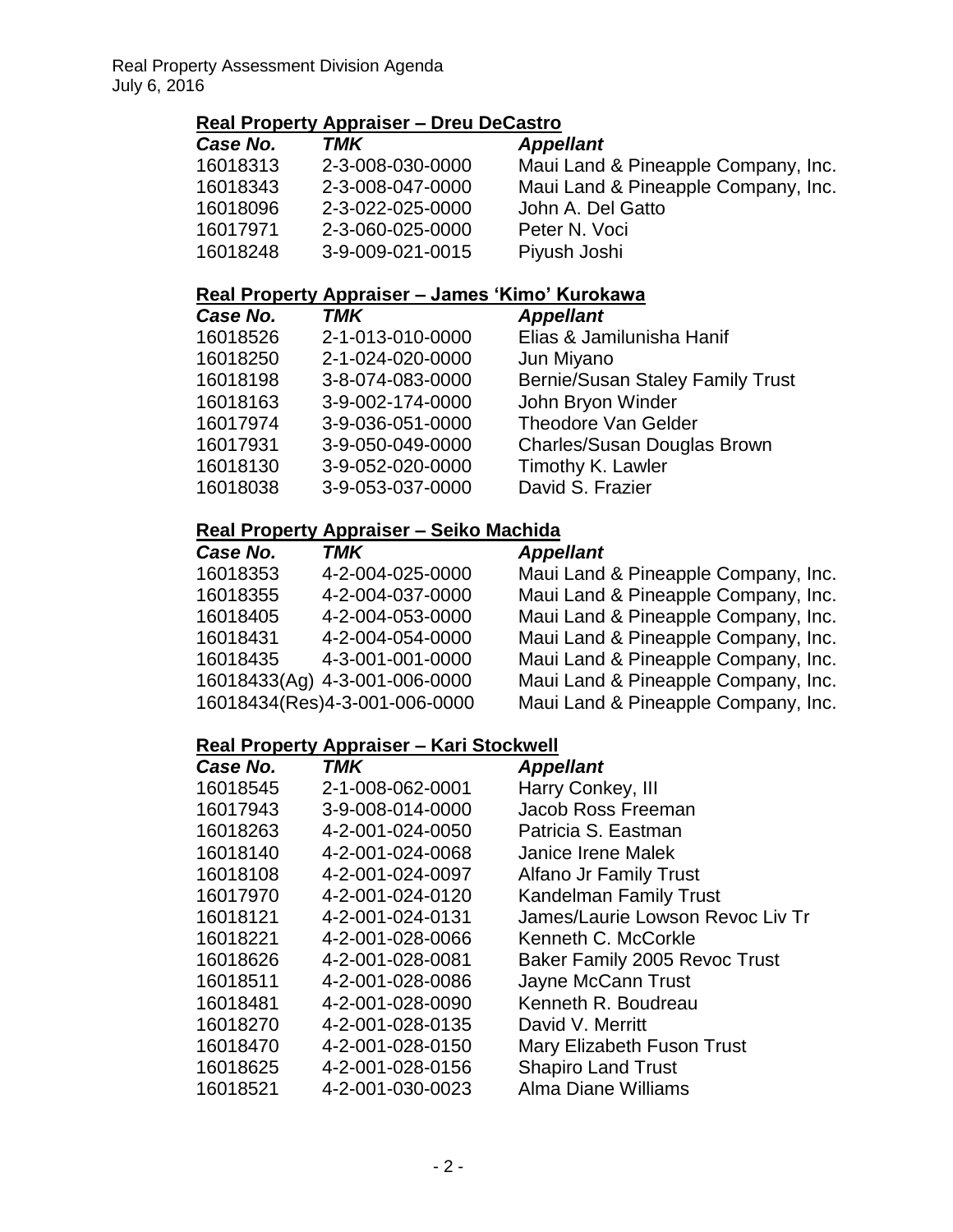# **Real Property Appraiser – Dreu DeCastro**

| Case No. | TMK              | <b>Appellant</b>                    |
|----------|------------------|-------------------------------------|
| 16018313 | 2-3-008-030-0000 | Maui Land & Pineapple Company, Inc. |
| 16018343 | 2-3-008-047-0000 | Maui Land & Pineapple Company, Inc. |
| 16018096 | 2-3-022-025-0000 | John A. Del Gatto                   |
| 16017971 | 2-3-060-025-0000 | Peter N. Voci                       |
| 16018248 | 3-9-009-021-0015 | Piyush Joshi                        |

#### **Real Property Appraiser – James 'Kimo' Kurokawa**

| Case No. | <b>TMK</b>       | <b>Appellant</b>                        |
|----------|------------------|-----------------------------------------|
| 16018526 | 2-1-013-010-0000 | Elias & Jamilunisha Hanif               |
| 16018250 | 2-1-024-020-0000 | Jun Miyano                              |
| 16018198 | 3-8-074-083-0000 | <b>Bernie/Susan Staley Family Trust</b> |
| 16018163 | 3-9-002-174-0000 | John Bryon Winder                       |
| 16017974 | 3-9-036-051-0000 | <b>Theodore Van Gelder</b>              |
| 16017931 | 3-9-050-049-0000 | Charles/Susan Douglas Brown             |
| 16018130 | 3-9-052-020-0000 | Timothy K. Lawler                       |
| 16018038 | 3-9-053-037-0000 | David S. Frazier                        |
|          |                  |                                         |

## **Real Property Appraiser – Seiko Machida**

| Case No. | TMK                           | <b>Appellant</b>                    |
|----------|-------------------------------|-------------------------------------|
| 16018353 | 4-2-004-025-0000              | Maui Land & Pineapple Company, Inc. |
| 16018355 | 4-2-004-037-0000              | Maui Land & Pineapple Company, Inc. |
| 16018405 | 4-2-004-053-0000              | Maui Land & Pineapple Company, Inc. |
| 16018431 | 4-2-004-054-0000              | Maui Land & Pineapple Company, Inc. |
| 16018435 | 4-3-001-001-0000              | Maui Land & Pineapple Company, Inc. |
|          | 16018433(Ag) 4-3-001-006-0000 | Maui Land & Pineapple Company, Inc. |
|          | 16018434(Res)4-3-001-006-0000 | Maui Land & Pineapple Company, Inc. |

#### **Real Property Appraiser – Kari Stockwell**

| Case No. | <b>TMK</b>       | <b>Appellant</b>                 |
|----------|------------------|----------------------------------|
| 16018545 | 2-1-008-062-0001 | Harry Conkey, III                |
| 16017943 | 3-9-008-014-0000 | Jacob Ross Freeman               |
| 16018263 | 4-2-001-024-0050 | Patricia S. Eastman              |
| 16018140 | 4-2-001-024-0068 | Janice Irene Malek               |
| 16018108 | 4-2-001-024-0097 | <b>Alfano Jr Family Trust</b>    |
| 16017970 | 4-2-001-024-0120 | <b>Kandelman Family Trust</b>    |
| 16018121 | 4-2-001-024-0131 | James/Laurie Lowson Revoc Liv Tr |
| 16018221 | 4-2-001-028-0066 | Kenneth C. McCorkle              |
| 16018626 | 4-2-001-028-0081 | Baker Family 2005 Revoc Trust    |
| 16018511 | 4-2-001-028-0086 | Jayne McCann Trust               |
| 16018481 | 4-2-001-028-0090 | Kenneth R. Boudreau              |
| 16018270 | 4-2-001-028-0135 | David V. Merritt                 |
| 16018470 | 4-2-001-028-0150 | Mary Elizabeth Fuson Trust       |
| 16018625 | 4-2-001-028-0156 | <b>Shapiro Land Trust</b>        |
| 16018521 | 4-2-001-030-0023 | Alma Diane Williams              |
|          |                  |                                  |